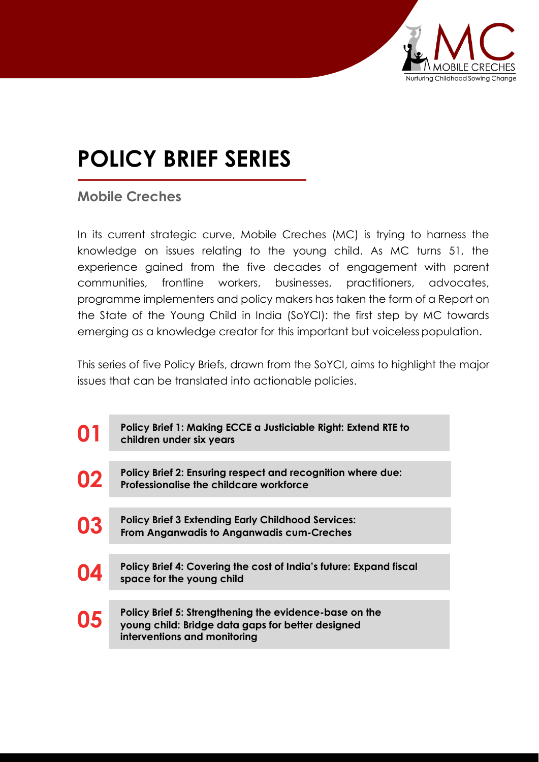

# **POLICY BRIEF SERIES**

### **Mobile Creches**

In its current strategic curve, Mobile Creches (MC) is trying to harness the knowledge on issues relating to the young child. As MC turns 51, the experience gained from the five decades of engagement with parent communities, frontline workers, businesses, practitioners, advocates, programme implementers and policy makers has taken the form of a Report on the State of the Young Child in India (SoYCI): the first step by MC towards emerging as a knowledge creator for this important but voiceless population.

This series of five Policy Briefs, drawn from the SoYCI, aims to highlight the major issues that can be translated into actionable policies.

| 01 | Policy Brief 1: Making ECCE a Justiciable Right: Extend RTE to<br>children under six years                                                  |
|----|---------------------------------------------------------------------------------------------------------------------------------------------|
| 02 | Policy Brief 2: Ensuring respect and recognition where due:<br>Professionalise the childcare workforce                                      |
| 03 | <b>Policy Brief 3 Extending Early Childhood Services:</b><br><b>From Anganwadis to Anganwadis cum-Creches</b>                               |
| 04 | Policy Brief 4: Covering the cost of India's future: Expand fiscal<br>space for the young child                                             |
| 05 | Policy Brief 5: Strengthening the evidence-base on the<br>young child: Bridge data gaps for better designed<br>interventions and monitoring |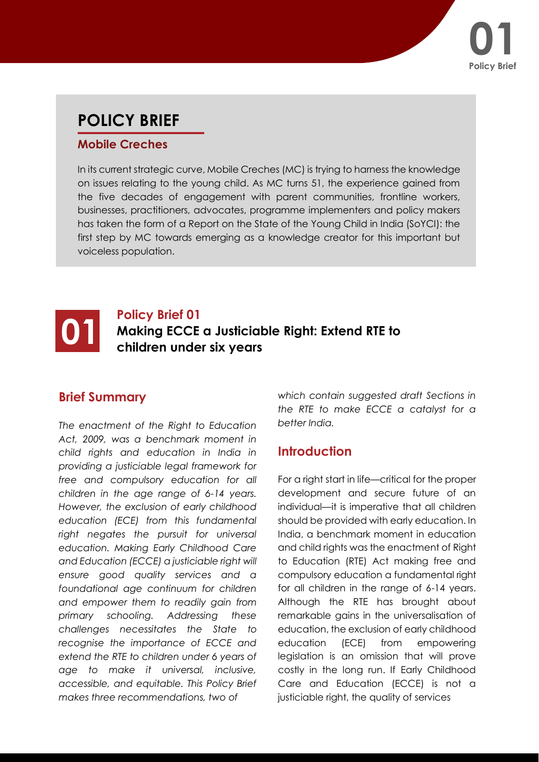

## **POLICY BRIEF**

#### **Mobile Creches**

In its current strategic curve, Mobile Creches (MC) is trying to harness the knowledge on issues relating to the young child. As MC turns 51, the experience gained from the five decades of engagement with parent communities, frontline workers, businesses, practitioners, advocates, programme implementers and policy makers has taken the form of a Report on the State of the Young Child in India (SoYCI): the first step by MC towards emerging as a knowledge creator for this important but voiceless population.

#### **01 Policy Brief 01**<br>**Making ECCE**<br>children unde **Making ECCE a Justiciable Right: Extend RTE to children under six years**

#### **Brief Summary**

*The enactment of the Right to Education Act, 2009, was a benchmark moment in child rights and education in India in providing a justiciable legal framework for free and compulsory education for all children in the age range of 6-14 years. However, the exclusion of early childhood education (ECE) from this fundamental right negates the pursuit for universal education. Making Early Childhood Care and Education (ECCE) a justiciable right will ensure good quality services and a foundational age continuum for children and empower them to readily gain from primary schooling. Addressing these challenges necessitates the State to recognise the importance of ECCE and extend the RTE to children under 6 years of age to make it universal, inclusive, accessible, and equitable. This Policy Brief makes three recommendations, two of*

*which contain suggested draft Sections in the RTE to make ECCE a catalyst for a better India.*

#### **Introduction**

For a right start in life—critical for the proper development and secure future of an individual—it is imperative that all children should be provided with early education. In India, a benchmark moment in education and child rights was the enactment of Right to Education (RTE) Act making free and compulsory education a fundamental right for all children in the range of 6-14 years. Although the RTE has brought about remarkable gains in the universalisation of education, the exclusion of early childhood education (ECE) from empowering legislation is an omission that will prove costly in the long run. If Early Childhood Care and Education (ECCE) is not a justiciable right, the quality of services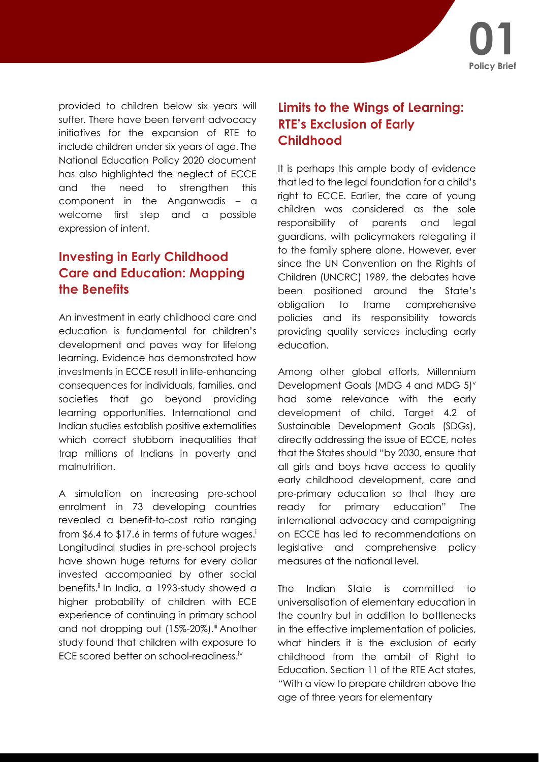

provided to children below six years will suffer. There have been fervent advocacy initiatives for the expansion of RTE to include children under six years of age. The National Education Policy 2020 document has also highlighted the neglect of ECCE and the need to strengthen this component in the Anganwadis – a welcome first step and a possible expression of intent.

#### **Investing in Early Childhood Care and Education: Mapping the Benefits**

An investment in early childhood care and education is fundamental for children's development and paves way for lifelong learning. Evidence has demonstrated how investments in ECCE result in life-enhancing consequences for individuals, families, and societies that go beyond providing learning opportunities. International and Indian studies establish positive externalities which correct stubborn inequalities that trap millions of Indians in poverty and malnutrition.

A simulation on increasing pre-school enrolment in 73 developing countries revealed a benefit-to-cost ratio ranging from  $$6.4$  to  $$17.6$  in terms of future wages.<sup>i</sup> Longitudinal studies in pre-school projects have shown huge returns for every dollar invested accompanied by other social benefits.<sup>ii</sup> In India, a 1993-study showed a higher probability of children with ECE experience of continuing in primary school and not dropping out (15%-20%).<sup>iii</sup> Another study found that children with exposure to ECE scored better on school-readiness.iv

#### **Limits to the Wings of Learning: RTE's Exclusion of Early Childhood**

It is perhaps this ample body of evidence that led to the legal foundation for a child's right to ECCE. Earlier, the care of young children was considered as the sole responsibility of parents and legal guardians, with policymakers relegating it to the family sphere alone. However, ever since the UN Convention on the Rights of Children (UNCRC) 1989, the debates have been positioned around the State's obligation to frame comprehensive policies and its responsibility towards providing quality services including early education.

Among other global efforts, Millennium Development Goals (MDG 4 and MDG  $5$ ) $^{\circ}$ had some relevance with the early development of child. Target 4.2 of Sustainable Development Goals (SDGs), directly addressing the issue of ECCE, notes that the States should "by 2030, ensure that all girls and boys have access to quality early childhood development, care and pre-primary education so that they are ready for primary education" The international advocacy and campaigning on ECCE has led to recommendations on legislative and comprehensive policy measures at the national level.

The Indian State is committed to universalisation of elementary education in the country but in addition to bottlenecks in the effective implementation of policies, what hinders it is the exclusion of early childhood from the ambit of Right to Education. Section 11 of the RTE Act states, "With a view to prepare children above the age of three years for elementary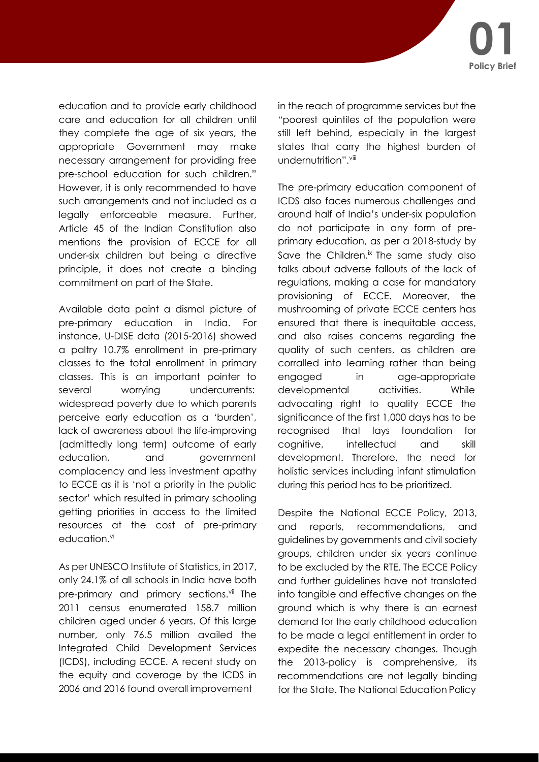education and to provide early childhood care and education for all children until they complete the age of six years, the appropriate Government may make necessary arrangement for providing free pre-school education for such children." However, it is only recommended to have such arrangements and not included as a legally enforceable measure. Further, Article 45 of the Indian Constitution also mentions the provision of ECCE for all under-six children but being a directive principle, it does not create a binding commitment on part of the State.

Available data paint a dismal picture of pre-primary education in India. For instance, U-DISE data (2015-2016) showed a paltry 10.7% enrollment in pre-primary classes to the total enrollment in primary classes. This is an important pointer to several worrying undercurrents: widespread poverty due to which parents perceive early education as a 'burden', lack of awareness about the life-improving (admittedly long term) outcome of early education, and government complacency and less investment apathy to ECCE as it is 'not a priority in the public sector' which resulted in primary schooling getting priorities in access to the limited resources at the cost of pre-primary education.<sup>vi</sup>

As per UNESCO Institute of Statistics, in 2017, only 24.1% of all schools in India have both pre-primary and primary sections.<sup>vii</sup> The 2011 census enumerated 158.7 million children aged under 6 years. Of this large number, only 76.5 million availed the Integrated Child Development Services (ICDS), including ECCE. A recent study on the equity and coverage by the ICDS in 2006 and 2016 found overall improvement

in the reach of programme services but the "poorest quintiles of the population were still left behind, especially in the largest states that carry the highest burden of undernutrition".<sup>viii</sup>

The pre-primary education component of ICDS also faces numerous challenges and around half of India's under-six population do not participate in any form of preprimary education, as per a 2018-study by Save the Children.<sup>ix</sup> The same study also talks about adverse fallouts of the lack of regulations, making a case for mandatory provisioning of ECCE. Moreover, the mushrooming of private ECCE centers has ensured that there is inequitable access, and also raises concerns regarding the quality of such centers, as children are corralled into learning rather than being engaged in age-appropriate developmental activities. While advocating right to quality ECCE the significance of the first 1,000 days has to be recognised that lays foundation for cognitive, intellectual and skill development. Therefore, the need for holistic services including infant stimulation during this period has to be prioritized.

Despite the National ECCE Policy, 2013, and reports, recommendations, and guidelines by governments and civil society groups, children under six years continue to be excluded by the RTE. The ECCE Policy and further guidelines have not translated into tangible and effective changes on the ground which is why there is an earnest demand for the early childhood education to be made a legal entitlement in order to expedite the necessary changes. Though the 2013-policy is comprehensive, its recommendations are not legally binding for the State. The National Education Policy